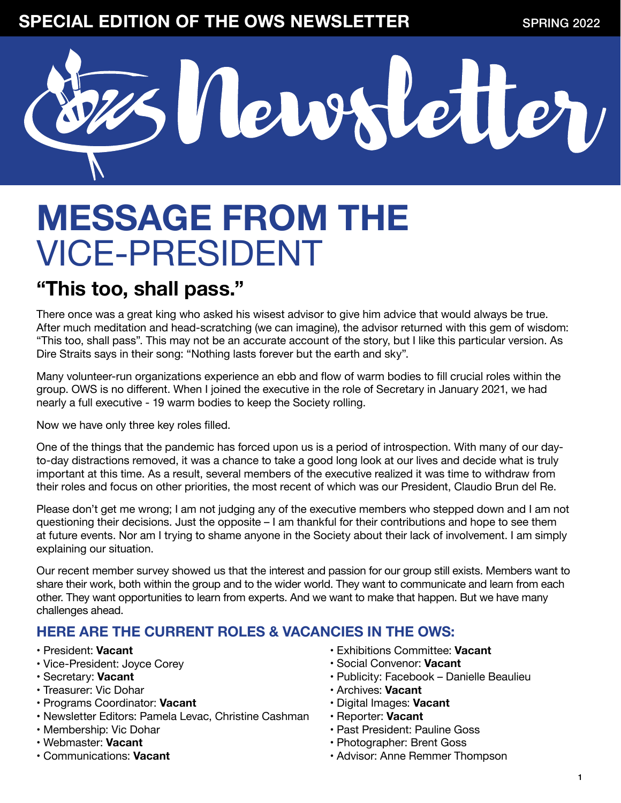### **SPECIAL EDITION OF THE OWS NEWSLETTER** SPRING 2022



## **MESSAGE FROM THE**  VICE-PRESIDENT

### **"This too, shall pass."**

There once was a great king who asked his wisest advisor to give him advice that would always be true. After much meditation and head-scratching (we can imagine), the advisor returned with this gem of wisdom: "This too, shall pass". This may not be an accurate account of the story, but I like this particular version. As Dire Straits says in their song: "Nothing lasts forever but the earth and sky".

Many volunteer-run organizations experience an ebb and flow of warm bodies to fill crucial roles within the group. OWS is no different. When I joined the executive in the role of Secretary in January 2021, we had nearly a full executive - 19 warm bodies to keep the Society rolling.

Now we have only three key roles filled.

One of the things that the pandemic has forced upon us is a period of introspection. With many of our dayto-day distractions removed, it was a chance to take a good long look at our lives and decide what is truly important at this time. As a result, several members of the executive realized it was time to withdraw from their roles and focus on other priorities, the most recent of which was our President, Claudio Brun del Re.

Please don't get me wrong; I am not judging any of the executive members who stepped down and I am not questioning their decisions. Just the opposite – I am thankful for their contributions and hope to see them at future events. Nor am I trying to shame anyone in the Society about their lack of involvement. I am simply explaining our situation.

Our recent member survey showed us that the interest and passion for our group still exists. Members want to share their work, both within the group and to the wider world. They want to communicate and learn from each other. They want opportunities to learn from experts. And we want to make that happen. But we have many challenges ahead.

#### **HERE ARE THE CURRENT ROLES & VACANCIES IN THE OWS:**

- President: **Vacant**
- Vice-President: Joyce Corey
- Secretary: **Vacant**
- Treasurer: Vic Dohar
- Programs Coordinator: **Vacant**
- Newsletter Editors: Pamela Levac, Christine Cashman
- Membership: Vic Dohar
- Webmaster: **Vacant**
- Communications: **Vacant**
- Exhibitions Committee: **Vacant**
- Social Convenor: **Vacant**
- Publicity: Facebook Danielle Beaulieu
- Archives: **Vacant**
- Digital Images: **Vacant**
- Reporter: **Vacant**
- Past President: Pauline Goss
- Photographer: Brent Goss
- Advisor: Anne Remmer Thompson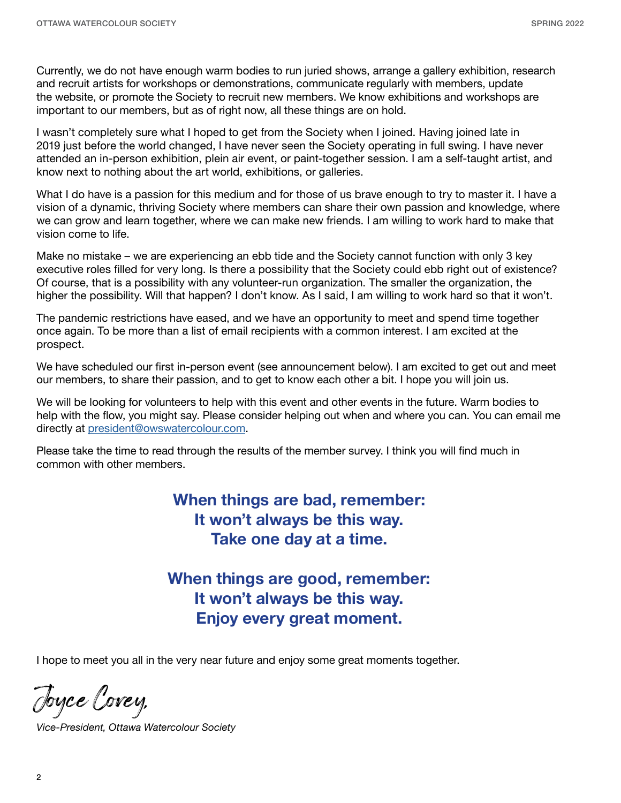Currently, we do not have enough warm bodies to run juried shows, arrange a gallery exhibition, research and recruit artists for workshops or demonstrations, communicate regularly with members, update the website, or promote the Society to recruit new members. We know exhibitions and workshops are important to our members, but as of right now, all these things are on hold.

I wasn't completely sure what I hoped to get from the Society when I joined. Having joined late in 2019 just before the world changed, I have never seen the Society operating in full swing. I have never attended an in-person exhibition, plein air event, or paint-together session. I am a self-taught artist, and know next to nothing about the art world, exhibitions, or galleries.

What I do have is a passion for this medium and for those of us brave enough to try to master it. I have a vision of a dynamic, thriving Society where members can share their own passion and knowledge, where we can grow and learn together, where we can make new friends. I am willing to work hard to make that vision come to life.

Make no mistake – we are experiencing an ebb tide and the Society cannot function with only 3 key executive roles filled for very long. Is there a possibility that the Society could ebb right out of existence? Of course, that is a possibility with any volunteer-run organization. The smaller the organization, the higher the possibility. Will that happen? I don't know. As I said, I am willing to work hard so that it won't.

The pandemic restrictions have eased, and we have an opportunity to meet and spend time together once again. To be more than a list of email recipients with a common interest. I am excited at the prospect.

We have scheduled our first in-person event (see announcement below). I am excited to get out and meet our members, to share their passion, and to get to know each other a bit. I hope you will join us.

We will be looking for volunteers to help with this event and other events in the future. Warm bodies to help with the flow, you might say. Please consider helping out when and where you can. You can email me directly at [president@owswatercolour.com](mailto:president%40owswatercolour.com?subject=).

Please take the time to read through the results of the member survey. I think you will find much in common with other members.

> **When things are bad, remember: It won't always be this way. Take one day at a time.**

**When things are good, remember: It won't always be this way. Enjoy every great moment.**

I hope to meet you all in the very near future and enjoy some great moments together.

Joyce Corey,

*Vice-President, Ottawa Watercolour Society*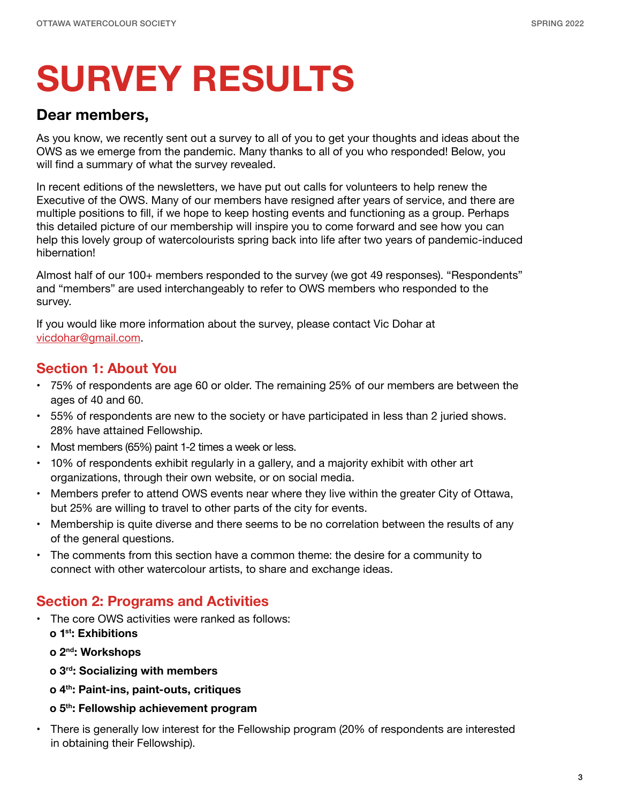## **SURVEY RESULTS**

#### **Dear members,**

As you know, we recently sent out a survey to all of you to get your thoughts and ideas about the OWS as we emerge from the pandemic. Many thanks to all of you who responded! Below, you will find a summary of what the survey revealed.

In recent editions of the newsletters, we have put out calls for volunteers to help renew the Executive of the OWS. Many of our members have resigned after years of service, and there are multiple positions to fill, if we hope to keep hosting events and functioning as a group. Perhaps this detailed picture of our membership will inspire you to come forward and see how you can help this lovely group of watercolourists spring back into life after two years of pandemic-induced hibernation!

Almost half of our 100+ members responded to the survey (we got 49 responses). "Respondents" and "members" are used interchangeably to refer to OWS members who responded to the survey.

If you would like more information about the survey, please contact Vic Dohar at [vicdohar@gmail.com.](mailto:vicdohar%40gmail.com?subject=)

#### **Section 1: About You**

- 75% of respondents are age 60 or older. The remaining 25% of our members are between the ages of 40 and 60.
- 55% of respondents are new to the society or have participated in less than 2 juried shows. 28% have attained Fellowship.
- Most members (65%) paint 1-2 times a week or less.
- 10% of respondents exhibit regularly in a gallery, and a majority exhibit with other art organizations, through their own website, or on social media.
- Members prefer to attend OWS events near where they live within the greater City of Ottawa, but 25% are willing to travel to other parts of the city for events.
- Membership is quite diverse and there seems to be no correlation between the results of any of the general questions.
- The comments from this section have a common theme: the desire for a community to connect with other watercolour artists, to share and exchange ideas.

#### **Section 2: Programs and Activities**

- The core OWS activities were ranked as follows:
	- **o 1st: Exhibitions**
	- **o 2nd: Workshops**
	- **o 3rd: Socializing with members**
	- **o 4th: Paint-ins, paint-outs, critiques**
	- **o 5th: Fellowship achievement program**

• There is generally low interest for the Fellowship program (20% of respondents are interested in obtaining their Fellowship).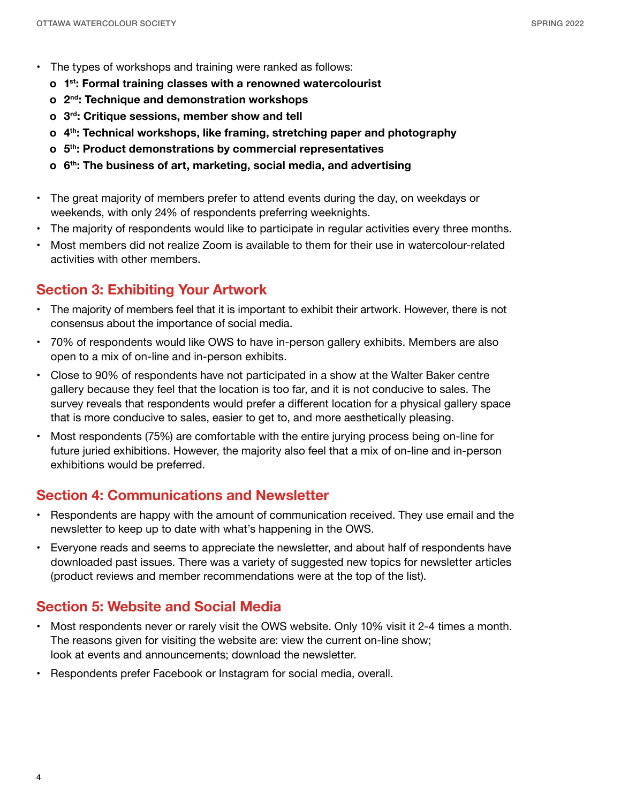- The types of workshops and training were ranked as follows:
	- **o 1st: Formal training classes with a renowned watercolourist**
	- **o 2nd: Technique and demonstration workshops**
	- **o 3rd: Critique sessions, member show and tell**
	- **o 4th: Technical workshops, like framing, stretching paper and photography**
	- **o 5th: Product demonstrations by commercial representatives**
	- **o 6th: The business of art, marketing, social media, and advertising**
- The great majority of members prefer to attend events during the day, on weekdays or weekends, with only 24% of respondents preferring weeknights.
- The majority of respondents would like to participate in regular activities every three months.
- Most members did not realize Zoom is available to them for their use in watercolour-related activities with other members.

#### **Section 3: Exhibiting Your Artwork**

- The majority of members feel that it is important to exhibit their artwork. However, there is not consensus about the importance of social media.
- 70% of respondents would like OWS to have in-person gallery exhibits. Members are also open to a mix of on-line and in-person exhibits.
- Close to 90% of respondents have not participated in a show at the Walter Baker centre gallery because they feel that the location is too far, and it is not conducive to sales. The survey reveals that respondents would prefer a different location for a physical gallery space that is more conducive to sales, easier to get to, and more aesthetically pleasing.
- Most respondents (75%) are comfortable with the entire jurying process being on-line for future juried exhibitions. However, the majority also feel that a mix of on-line and in-person exhibitions would be preferred.

#### **Section 4: Communications and Newsletter**

- Respondents are happy with the amount of communication received. They use email and the newsletter to keep up to date with what's happening in the OWS.
- Everyone reads and seems to appreciate the newsletter, and about half of respondents have downloaded past issues. There was a variety of suggested new topics for newsletter articles (product reviews and member recommendations were at the top of the list).

#### **Section 5: Website and Social Media**

- Most respondents never or rarely visit the OWS website. Only 10% visit it 2-4 times a month. The reasons given for visiting the website are: view the current on-line show; look at events and announcements; download the newsletter.
- Respondents prefer Facebook or Instagram for social media, overall.